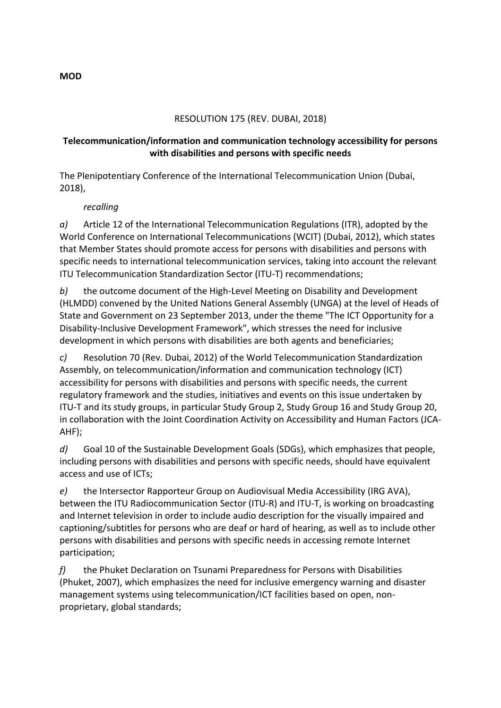### RESOLUTION 175 (REV. DUBAI, 2018)

### **Telecommunication/information and communication technology accessibility for persons** with disabilities and persons with specific needs

The Plenipotentiary Conference of the International Telecommunication Union (Dubai, 2018),

#### *recalling*

*a*) Article 12 of the International Telecommunication Regulations (ITR), adopted by the World Conference on International Telecommunications (WCIT) (Dubai, 2012), which states that Member States should promote access for persons with disabilities and persons with specific needs to international telecommunication services, taking into account the relevant ITU Telecommunication Standardization Sector (ITU-T) recommendations;

*b*) the outcome document of the High-Level Meeting on Disability and Development (HLMDD) convened by the United Nations General Assembly (UNGA) at the level of Heads of State and Government on 23 September 2013, under the theme "The ICT Opportunity for a Disability-Inclusive Development Framework", which stresses the need for inclusive development in which persons with disabilities are both agents and beneficiaries;

*c*) Resolution 70 (Rev. Dubai, 2012) of the World Telecommunication Standardization Assembly, on telecommunication/information and communication technology (ICT) accessibility for persons with disabilities and persons with specific needs, the current regulatory framework and the studies, initiatives and events on this issue undertaken by ITU-T and its study groups, in particular Study Group 2, Study Group 16 and Study Group 20, in collaboration with the Joint Coordination Activity on Accessibility and Human Factors (JCA-AHF);

*d*) Goal 10 of the Sustainable Development Goals (SDGs), which emphasizes that people, including persons with disabilities and persons with specific needs, should have equivalent access and use of ICTs;

*e*) the Intersector Rapporteur Group on Audiovisual Media Accessibility (IRG AVA), between the ITU Radiocommunication Sector (ITU-R) and ITU-T, is working on broadcasting and Internet television in order to include audio description for the visually impaired and captioning/subtitles for persons who are deaf or hard of hearing, as well as to include other persons with disabilities and persons with specific needs in accessing remote Internet participation; 

*f*) the Phuket Declaration on Tsunami Preparedness for Persons with Disabilities (Phuket, 2007), which emphasizes the need for inclusive emergency warning and disaster management systems using telecommunication/ICT facilities based on open, nonproprietary, global standards;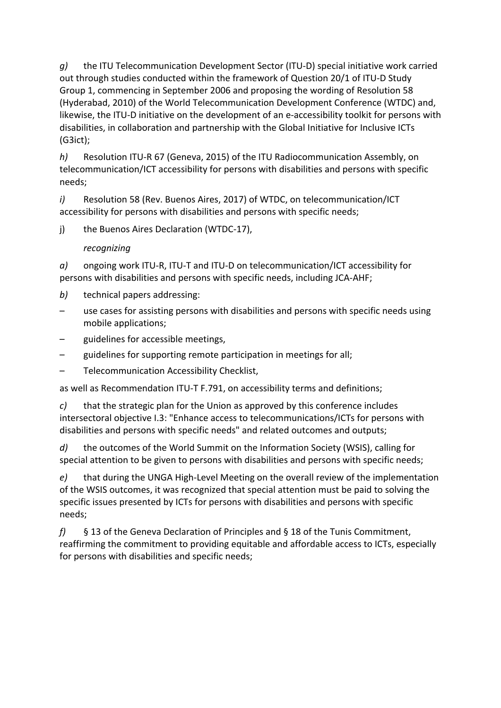*g*) the ITU Telecommunication Development Sector (ITU-D) special initiative work carried out through studies conducted within the framework of Question 20/1 of ITU-D Study Group 1, commencing in September 2006 and proposing the wording of Resolution 58 (Hyderabad, 2010) of the World Telecommunication Development Conference (WTDC) and, likewise, the ITU-D initiative on the development of an e-accessibility toolkit for persons with disabilities, in collaboration and partnership with the Global Initiative for Inclusive ICTs (G3ict);

*h*) Resolution ITU-R 67 (Geneva, 2015) of the ITU Radiocommunication Assembly, on telecommunication/ICT accessibility for persons with disabilities and persons with specific needs;

*i*) Resolution 58 (Rev. Buenos Aires, 2017) of WTDC, on telecommunication/ICT accessibility for persons with disabilities and persons with specific needs;

j) the Buenos Aires Declaration (WTDC-17),

# *recognizing*

*a*) ongoing work ITU-R, ITU-T and ITU-D on telecommunication/ICT accessibility for persons with disabilities and persons with specific needs, including JCA-AHF;

- *b*) technical papers addressing:
- $-$  use cases for assisting persons with disabilities and persons with specific needs using mobile applications;
- guidelines for accessible meetings,
- guidelines for supporting remote participation in meetings for all;
- Telecommunication Accessibility Checklist,

as well as Recommendation ITU-T F.791, on accessibility terms and definitions;

*c*) that the strategic plan for the Union as approved by this conference includes intersectoral objective I.3: "Enhance access to telecommunications/ICTs for persons with disabilities and persons with specific needs" and related outcomes and outputs;

d) the outcomes of the World Summit on the Information Society (WSIS), calling for special attention to be given to persons with disabilities and persons with specific needs;

*e*) that during the UNGA High-Level Meeting on the overall review of the implementation of the WSIS outcomes, it was recognized that special attention must be paid to solving the specific issues presented by ICTs for persons with disabilities and persons with specific needs; 

f) § 13 of the Geneva Declaration of Principles and § 18 of the Tunis Commitment, reaffirming the commitment to providing equitable and affordable access to ICTs, especially for persons with disabilities and specific needs;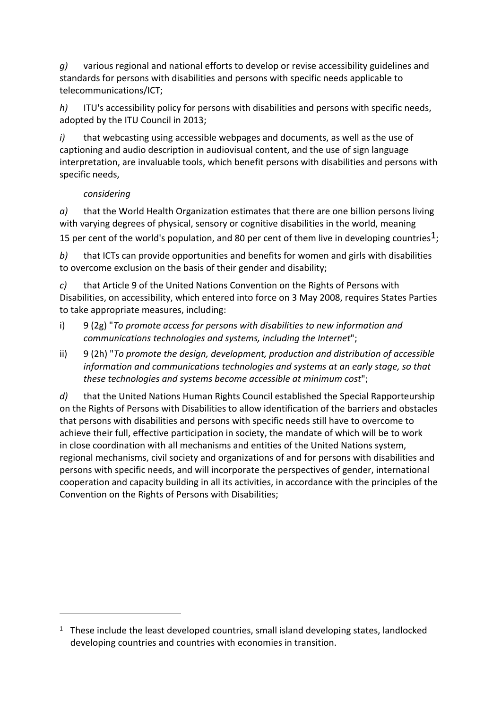*g*) various regional and national efforts to develop or revise accessibility guidelines and standards for persons with disabilities and persons with specific needs applicable to telecommunications/ICT;

*h*) ITU's accessibility policy for persons with disabilities and persons with specific needs, adopted by the ITU Council in 2013;

*i*) that webcasting using accessible webpages and documents, as well as the use of captioning and audio description in audiovisual content, and the use of sign language interpretation, are invaluable tools, which benefit persons with disabilities and persons with specific needs,

### *considering*

 

*a*) that the World Health Organization estimates that there are one billion persons living with varying degrees of physical, sensory or cognitive disabilities in the world, meaning 15 per cent of the world's population, and 80 per cent of them live in developing countries<sup>1</sup>;

*b*) that ICTs can provide opportunities and benefits for women and girls with disabilities to overcome exclusion on the basis of their gender and disability;

*c*) that Article 9 of the United Nations Convention on the Rights of Persons with Disabilities, on accessibility, which entered into force on 3 May 2008, requires States Parties to take appropriate measures, including:

- i) 9 (2g) "To promote access for persons with disabilities to new information and *communications technologies and systems, including the Internet";*
- ii) 9 (2h) "*To promote the design, development, production and distribution of accessible information and communications technologies and systems at an early stage, so that these technologies and systems become accessible at minimum cost*";

*d*) that the United Nations Human Rights Council established the Special Rapporteurship on the Rights of Persons with Disabilities to allow identification of the barriers and obstacles that persons with disabilities and persons with specific needs still have to overcome to achieve their full, effective participation in society, the mandate of which will be to work in close coordination with all mechanisms and entities of the United Nations system, regional mechanisms, civil society and organizations of and for persons with disabilities and persons with specific needs, and will incorporate the perspectives of gender, international cooperation and capacity building in all its activities, in accordance with the principles of the Convention on the Rights of Persons with Disabilities;

 $1$  These include the least developed countries, small island developing states, landlocked developing countries and countries with economies in transition.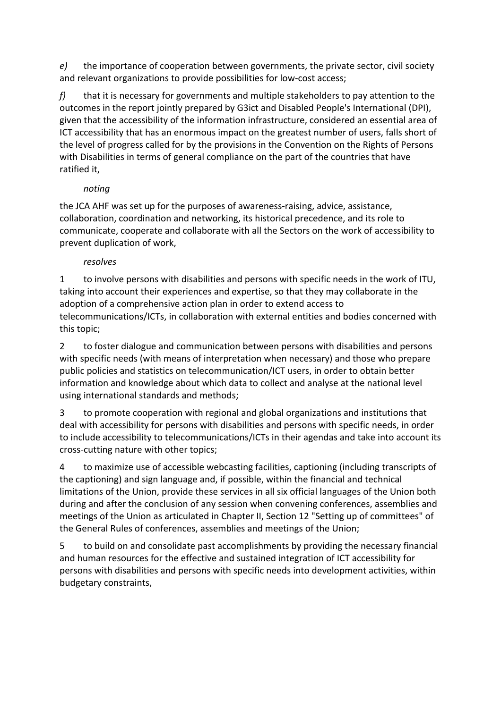*e*) the importance of cooperation between governments, the private sector, civil society and relevant organizations to provide possibilities for low-cost access;

*f*) that it is necessary for governments and multiple stakeholders to pay attention to the outcomes in the report iointly prepared by G3ict and Disabled People's International (DPI). given that the accessibility of the information infrastructure, considered an essential area of ICT accessibility that has an enormous impact on the greatest number of users, falls short of the level of progress called for by the provisions in the Convention on the Rights of Persons with Disabilities in terms of general compliance on the part of the countries that have ratified it,

# *noting*

the JCA AHF was set up for the purposes of awareness-raising, advice, assistance, collaboration, coordination and networking, its historical precedence, and its role to communicate, cooperate and collaborate with all the Sectors on the work of accessibility to prevent duplication of work,

### *resolves*

1 to involve persons with disabilities and persons with specific needs in the work of ITU, taking into account their experiences and expertise, so that they may collaborate in the adoption of a comprehensive action plan in order to extend access to telecommunications/ICTs, in collaboration with external entities and bodies concerned with this topic;

2 to foster dialogue and communication between persons with disabilities and persons with specific needs (with means of interpretation when necessary) and those who prepare public policies and statistics on telecommunication/ICT users, in order to obtain better information and knowledge about which data to collect and analyse at the national level using international standards and methods;

3 to promote cooperation with regional and global organizations and institutions that deal with accessibility for persons with disabilities and persons with specific needs, in order to include accessibility to telecommunications/ICTs in their agendas and take into account its cross-cutting nature with other topics;

4 to maximize use of accessible webcasting facilities, captioning (including transcripts of the captioning) and sign language and, if possible, within the financial and technical limitations of the Union, provide these services in all six official languages of the Union both during and after the conclusion of any session when convening conferences, assemblies and meetings of the Union as articulated in Chapter II, Section 12 "Setting up of committees" of the General Rules of conferences, assemblies and meetings of the Union;

5 to build on and consolidate past accomplishments by providing the necessary financial and human resources for the effective and sustained integration of ICT accessibility for persons with disabilities and persons with specific needs into development activities, within budgetary constraints,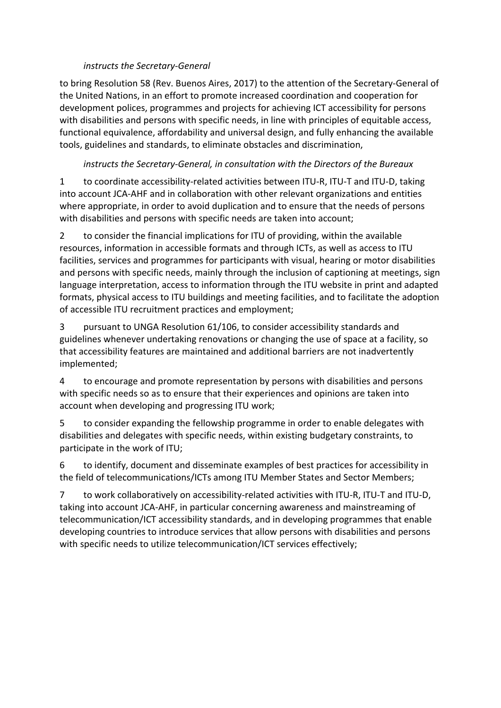### *instructs the Secretary-General*

to bring Resolution 58 (Rev. Buenos Aires, 2017) to the attention of the Secretary-General of the United Nations, in an effort to promote increased coordination and cooperation for development polices, programmes and projects for achieving ICT accessibility for persons with disabilities and persons with specific needs, in line with principles of equitable access, functional equivalence, affordability and universal design, and fully enhancing the available tools, guidelines and standards, to eliminate obstacles and discrimination,

### *instructs* the Secretary-General, in consultation with the Directors of the Bureaux

1 to coordinate accessibility-related activities between ITU-R, ITU-T and ITU-D, taking into account JCA-AHF and in collaboration with other relevant organizations and entities where appropriate, in order to avoid duplication and to ensure that the needs of persons with disabilities and persons with specific needs are taken into account;

2 to consider the financial implications for ITU of providing, within the available resources, information in accessible formats and through ICTs, as well as access to ITU facilities, services and programmes for participants with visual, hearing or motor disabilities and persons with specific needs, mainly through the inclusion of captioning at meetings, sign language interpretation, access to information through the ITU website in print and adapted formats, physical access to ITU buildings and meeting facilities, and to facilitate the adoption of accessible ITU recruitment practices and employment;

3 pursuant to UNGA Resolution 61/106, to consider accessibility standards and guidelines whenever undertaking renovations or changing the use of space at a facility, so that accessibility features are maintained and additional barriers are not inadvertently implemented;

4 to encourage and promote representation by persons with disabilities and persons with specific needs so as to ensure that their experiences and opinions are taken into account when developing and progressing ITU work;

5 to consider expanding the fellowship programme in order to enable delegates with disabilities and delegates with specific needs, within existing budgetary constraints, to participate in the work of ITU;

6 to identify, document and disseminate examples of best practices for accessibility in the field of telecommunications/ICTs among ITU Member States and Sector Members;

7 to work collaboratively on accessibility-related activities with ITU-R, ITU-T and ITU-D. taking into account JCA-AHF, in particular concerning awareness and mainstreaming of telecommunication/ICT accessibility standards, and in developing programmes that enable developing countries to introduce services that allow persons with disabilities and persons with specific needs to utilize telecommunication/ICT services effectively;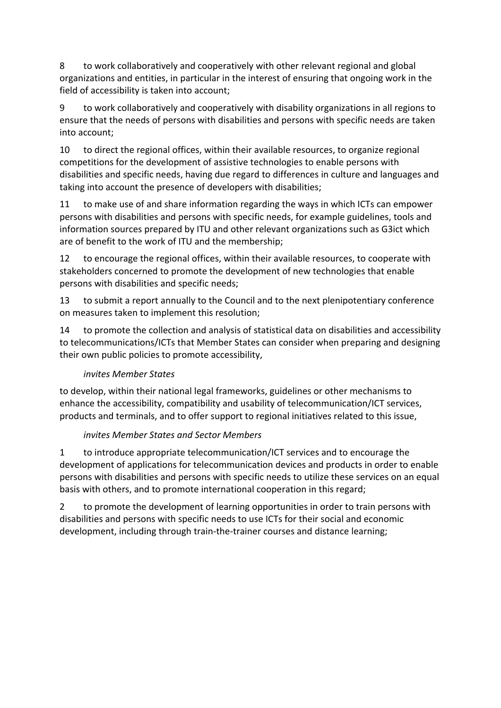8 to work collaboratively and cooperatively with other relevant regional and global organizations and entities, in particular in the interest of ensuring that ongoing work in the field of accessibility is taken into account;

9 to work collaboratively and cooperatively with disability organizations in all regions to ensure that the needs of persons with disabilities and persons with specific needs are taken into account:

10 to direct the regional offices, within their available resources, to organize regional competitions for the development of assistive technologies to enable persons with disabilities and specific needs, having due regard to differences in culture and languages and taking into account the presence of developers with disabilities;

11 to make use of and share information regarding the ways in which ICTs can empower persons with disabilities and persons with specific needs, for example guidelines, tools and information sources prepared by ITU and other relevant organizations such as G3ict which are of benefit to the work of ITU and the membership;

12 to encourage the regional offices, within their available resources, to cooperate with stakeholders concerned to promote the development of new technologies that enable persons with disabilities and specific needs;

13 to submit a report annually to the Council and to the next plenipotentiary conference on measures taken to implement this resolution;

14 to promote the collection and analysis of statistical data on disabilities and accessibility to telecommunications/ICTs that Member States can consider when preparing and designing their own public policies to promote accessibility,

# *invites Member States*

to develop, within their national legal frameworks, guidelines or other mechanisms to enhance the accessibility, compatibility and usability of telecommunication/ICT services, products and terminals, and to offer support to regional initiatives related to this issue,

# *invites Member States and Sector Members*

1 to introduce appropriate telecommunication/ICT services and to encourage the development of applications for telecommunication devices and products in order to enable persons with disabilities and persons with specific needs to utilize these services on an equal basis with others, and to promote international cooperation in this regard;

2 to promote the development of learning opportunities in order to train persons with disabilities and persons with specific needs to use ICTs for their social and economic development, including through train-the-trainer courses and distance learning;